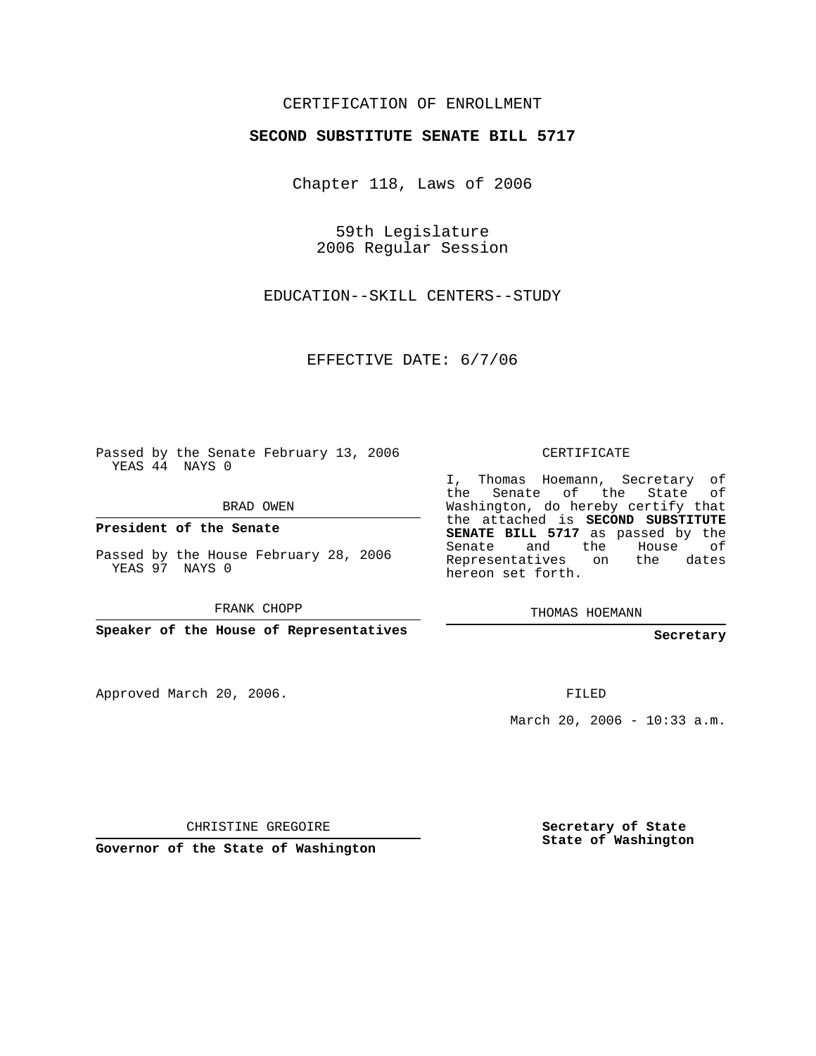## CERTIFICATION OF ENROLLMENT

## **SECOND SUBSTITUTE SENATE BILL 5717**

Chapter 118, Laws of 2006

59th Legislature 2006 Regular Session

EDUCATION--SKILL CENTERS--STUDY

EFFECTIVE DATE: 6/7/06

Passed by the Senate February 13, 2006 YEAS 44 NAYS 0

BRAD OWEN

**President of the Senate**

Passed by the House February 28, 2006 YEAS 97 NAYS 0

FRANK CHOPP

**Speaker of the House of Representatives**

Approved March 20, 2006.

CERTIFICATE

I, Thomas Hoemann, Secretary of the Senate of the State of Washington, do hereby certify that the attached is **SECOND SUBSTITUTE SENATE BILL 5717** as passed by the Senate and the House of Representatives on the dates hereon set forth.

THOMAS HOEMANN

**Secretary**

FILED

March 20, 2006 - 10:33 a.m.

CHRISTINE GREGOIRE

**Governor of the State of Washington**

**Secretary of State State of Washington**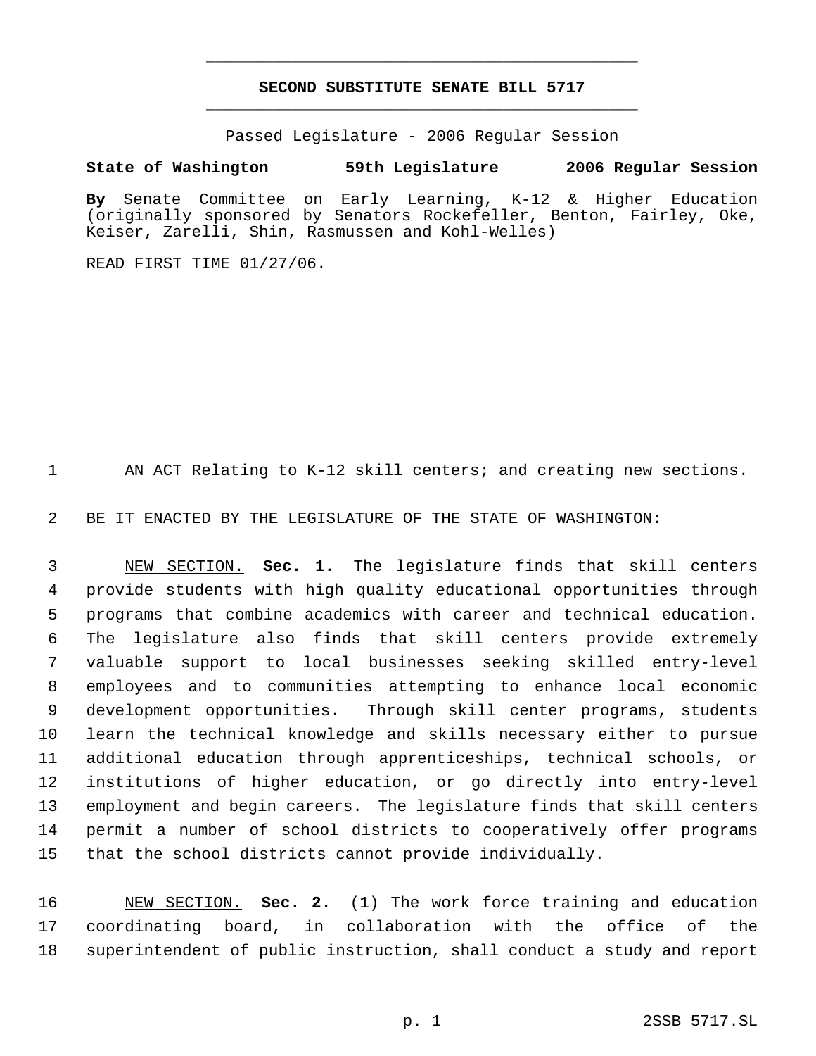## **SECOND SUBSTITUTE SENATE BILL 5717** \_\_\_\_\_\_\_\_\_\_\_\_\_\_\_\_\_\_\_\_\_\_\_\_\_\_\_\_\_\_\_\_\_\_\_\_\_\_\_\_\_\_\_\_\_

\_\_\_\_\_\_\_\_\_\_\_\_\_\_\_\_\_\_\_\_\_\_\_\_\_\_\_\_\_\_\_\_\_\_\_\_\_\_\_\_\_\_\_\_\_

Passed Legislature - 2006 Regular Session

## **State of Washington 59th Legislature 2006 Regular Session**

**By** Senate Committee on Early Learning, K-12 & Higher Education (originally sponsored by Senators Rockefeller, Benton, Fairley, Oke, Keiser, Zarelli, Shin, Rasmussen and Kohl-Welles)

READ FIRST TIME 01/27/06.

AN ACT Relating to K-12 skill centers; and creating new sections.

BE IT ENACTED BY THE LEGISLATURE OF THE STATE OF WASHINGTON:

 NEW SECTION. **Sec. 1.** The legislature finds that skill centers provide students with high quality educational opportunities through programs that combine academics with career and technical education. The legislature also finds that skill centers provide extremely valuable support to local businesses seeking skilled entry-level employees and to communities attempting to enhance local economic development opportunities. Through skill center programs, students learn the technical knowledge and skills necessary either to pursue additional education through apprenticeships, technical schools, or institutions of higher education, or go directly into entry-level employment and begin careers. The legislature finds that skill centers permit a number of school districts to cooperatively offer programs that the school districts cannot provide individually.

 NEW SECTION. **Sec. 2.** (1) The work force training and education coordinating board, in collaboration with the office of the superintendent of public instruction, shall conduct a study and report